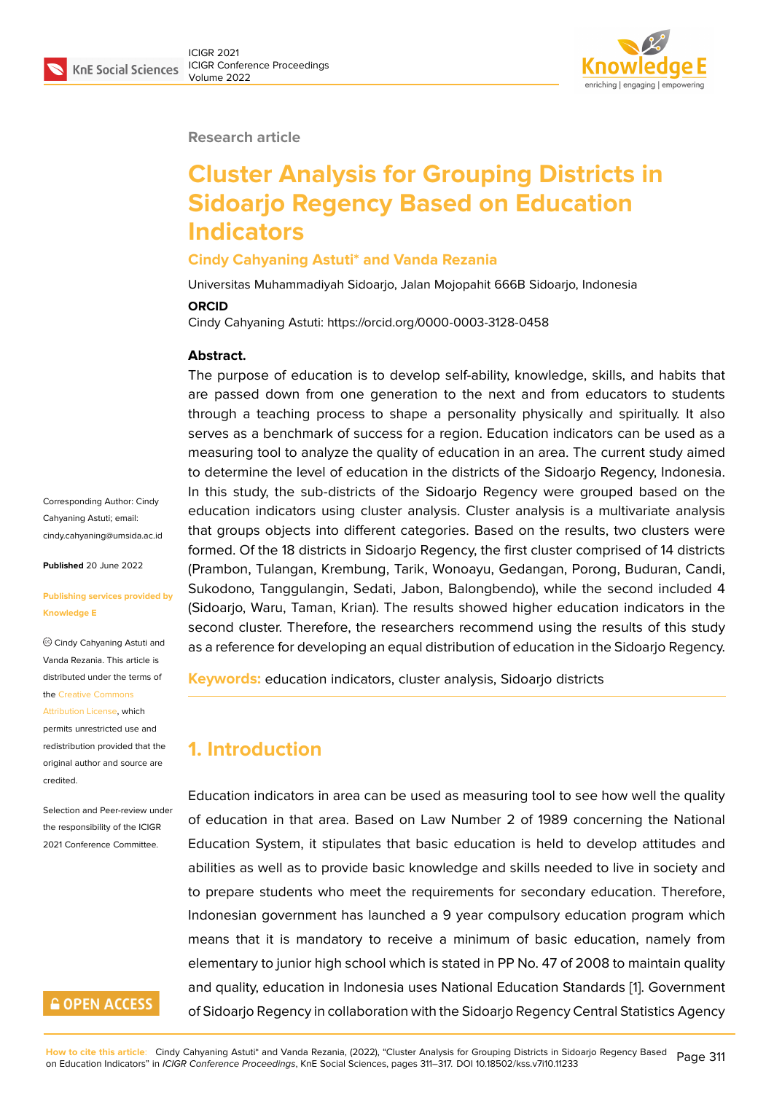#### **Research article**

# **Cluster Analysis for Grouping Districts in Sidoarjo Regency Based on Education Indicators**

#### **Cindy Cahyaning Astuti\* and Vanda Rezania**

Universitas Muhammadiyah Sidoarjo, Jalan Mojopahit 666B Sidoarjo, Indonesia

#### **ORCID**

Cindy Cahyaning Astuti: https://orcid.org/0000-0003-3128-0458

#### **Abstract.**

The purpose of education is to develop self-ability, knowledge, skills, and habits that are passed down from one generation to the next and from educators to students through a teaching process to shape a personality physically and spiritually. It also serves as a benchmark of success for a region. Education indicators can be used as a measuring tool to analyze the quality of education in an area. The current study aimed to determine the level of education in the districts of the Sidoarjo Regency, Indonesia. In this study, the sub-districts of the Sidoarjo Regency were grouped based on the education indicators using cluster analysis. Cluster analysis is a multivariate analysis that groups objects into different categories. Based on the results, two clusters were formed. Of the 18 districts in Sidoarjo Regency, the first cluster comprised of 14 districts (Prambon, Tulangan, Krembung, Tarik, Wonoayu, Gedangan, Porong, Buduran, Candi, Sukodono, Tanggulangin, Sedati, Jabon, Balongbendo), while the second included 4 (Sidoarjo, Waru, Taman, Krian). The results showed higher education indicators in the second cluster. Therefore, the researchers recommend using the results of this study as a reference for developing an equal distribution of education in the Sidoarjo Regency.

**Keywords:** education indicators, cluster analysis, Sidoarjo districts

### **1. Introduction**

Education indicators in area can be used as measuring tool to see how well the quality of education in that area. Based on Law Number 2 of 1989 concerning the National Education System, it stipulates that basic education is held to develop attitudes and abilities as well as to provide basic knowledge and skills needed to live in society and to prepare students who meet the requirements for secondary education. Therefore, Indonesian government has launched a 9 year compulsory education program which means that it is mandatory to receive a minimum of basic education, namely from elementary to junior high school which is stated in PP No. 47 of 2008 to maintain quality and quality, education in Indonesia uses National Education Standards [1]. Government of Sidoarjo Regency in collaboration with the Sidoarjo Regency Central Statistics Agency

Corresponding Author: Cindy Cahyaning Astuti; email: cindy.cahyaning@umsida.ac.id

**Published** 20 June 2022

#### **[Publishing services provided](mailto:cindy.cahyaning@umsida.ac.id) by Knowledge E**

Cindy Cahyaning Astuti and Vanda Rezania. This article is distributed under the terms of the Creative Commons

Attribution License, which

permits unrestricted use and redistribution provided that the orig[inal author and sou](https://creativecommons.org/licenses/by/4.0/)rce are [credited.](https://creativecommons.org/licenses/by/4.0/)

Selection and Peer-review under the responsibility of the ICIGR 2021 Conference Committee.

### **GOPEN ACCESS**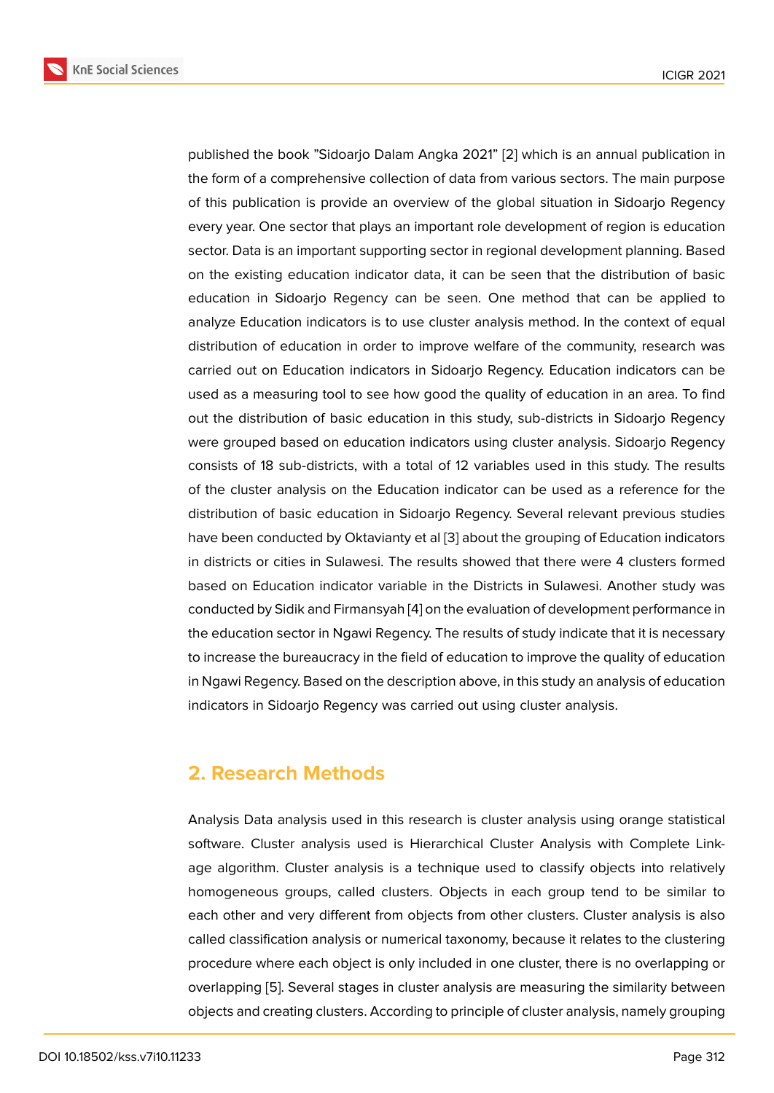published the book "Sidoarjo Dalam Angka 2021" [2] which is an annual publication in the form of a comprehensive collection of data from various sectors. The main purpose of this publication is provide an overview of the global situation in Sidoarjo Regency every year. One sector that plays an important role [de](#page-5-1)velopment of region is education sector. Data is an important supporting sector in regional development planning. Based on the existing education indicator data, it can be seen that the distribution of basic education in Sidoarjo Regency can be seen. One method that can be applied to analyze Education indicators is to use cluster analysis method. In the context of equal distribution of education in order to improve welfare of the community, research was carried out on Education indicators in Sidoarjo Regency. Education indicators can be used as a measuring tool to see how good the quality of education in an area. To find out the distribution of basic education in this study, sub-districts in Sidoarjo Regency were grouped based on education indicators using cluster analysis. Sidoarjo Regency consists of 18 sub-districts, with a total of 12 variables used in this study. The results of the cluster analysis on the Education indicator can be used as a reference for the distribution of basic education in Sidoarjo Regency. Several relevant previous studies have been conducted by Oktavianty et al [3] about the grouping of Education indicators in districts or cities in Sulawesi. The results showed that there were 4 clusters formed based on Education indicator variable in the Districts in Sulawesi. Another study was conducted by Sidik and Firmansyah [4] on t[he](#page-5-2) evaluation of development performance in the education sector in Ngawi Regency. The results of study indicate that it is necessary to increase the bureaucracy in the field of education to improve the quality of education in Ngawi Regency. Based on the des[cr](#page-6-0)iption above, in this study an analysis of education indicators in Sidoarjo Regency was carried out using cluster analysis.

#### **2. Research Methods**

Analysis Data analysis used in this research is cluster analysis using orange statistical software. Cluster analysis used is Hierarchical Cluster Analysis with Complete Linkage algorithm. Cluster analysis is a technique used to classify objects into relatively homogeneous groups, called clusters. Objects in each group tend to be similar to each other and very different from objects from other clusters. Cluster analysis is also called classification analysis or numerical taxonomy, because it relates to the clustering procedure where each object is only included in one cluster, there is no overlapping or overlapping [5]. Several stages in cluster analysis are measuring the similarity between objects and creating clusters. According to principle of cluster analysis, namely grouping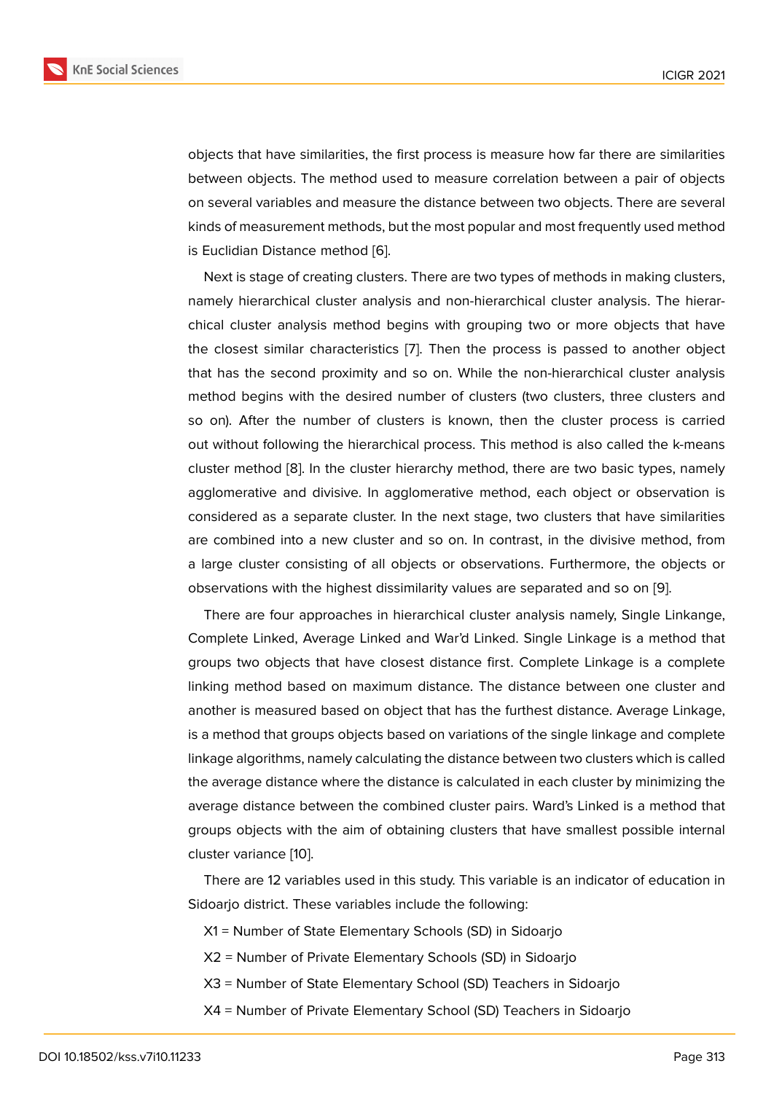objects that have similarities, the first process is measure how far there are similarities between objects. The method used to measure correlation between a pair of objects on several variables and measure the distance between two objects. There are several kinds of measurement methods, but the most popular and most frequently used method is Euclidian Distance method [6].

Next is stage of creating clusters. There are two types of methods in making clusters, namely hierarchical cluster analysis and non-hierarchical cluster analysis. The hierarchical cluster analysis metho[d](#page-6-1) begins with grouping two or more objects that have the closest similar characteristics [7]. Then the process is passed to another object that has the second proximity and so on. While the non-hierarchical cluster analysis method begins with the desired number of clusters (two clusters, three clusters and so on). After the number of clust[er](#page-6-2)s is known, then the cluster process is carried out without following the hierarchical process. This method is also called the k-means cluster method [8]. In the cluster hierarchy method, there are two basic types, namely agglomerative and divisive. In agglomerative method, each object or observation is considered as a separate cluster. In the next stage, two clusters that have similarities are combined i[nto](#page-6-3) a new cluster and so on. In contrast, in the divisive method, from a large cluster consisting of all objects or observations. Furthermore, the objects or observations with the highest dissimilarity values are separated and so on [9].

There are four approaches in hierarchical cluster analysis namely, Single Linkange, Complete Linked, Average Linked and War'd Linked. Single Linkage is a method that groups two objects that have closest distance first. Complete Linkage is [a](#page-6-4) complete linking method based on maximum distance. The distance between one cluster and another is measured based on object that has the furthest distance. Average Linkage, is a method that groups objects based on variations of the single linkage and complete linkage algorithms, namely calculating the distance between two clusters which is called the average distance where the distance is calculated in each cluster by minimizing the average distance between the combined cluster pairs. Ward's Linked is a method that groups objects with the aim of obtaining clusters that have smallest possible internal cluster variance [10].

There are 12 variables used in this study. This variable is an indicator of education in Sidoarjo district. These variables include the following:

- X1 = Number [of S](#page-6-5)tate Elementary Schools (SD) in Sidoarjo
- X2 = Number of Private Elementary Schools (SD) in Sidoarjo
- X3 = Number of State Elementary School (SD) Teachers in Sidoarjo
- X4 = Number of Private Elementary School (SD) Teachers in Sidoarjo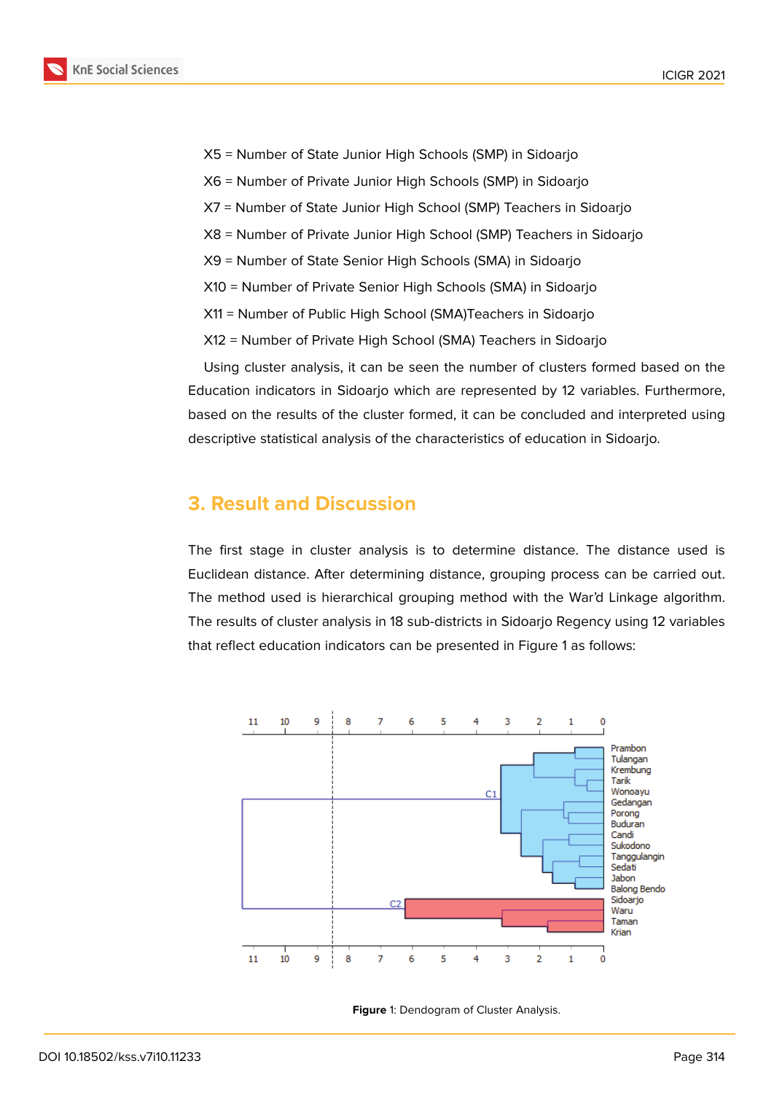X5 = Number of State Junior High Schools (SMP) in Sidoarjo

- X6 = Number of Private Junior High Schools (SMP) in Sidoarjo
- X7 = Number of State Junior High School (SMP) Teachers in Sidoarjo
- X8 = Number of Private Junior High School (SMP) Teachers in Sidoarjo
- X9 = Number of State Senior High Schools (SMA) in Sidoarjo
- X10 = Number of Private Senior High Schools (SMA) in Sidoarjo
- X11 = Number of Public High School (SMA)Teachers in Sidoarjo
- X12 = Number of Private High School (SMA) Teachers in Sidoarjo

Using cluster analysis, it can be seen the number of clusters formed based on the Education indicators in Sidoarjo which are represented by 12 variables. Furthermore, based on the results of the cluster formed, it can be concluded and interpreted using descriptive statistical analysis of the characteristics of education in Sidoarjo.

#### **3. Result and Discussion**

The first stage in cluster analysis is to determine distance. The distance used is Euclidean distance. After determining distance, grouping process can be carried out. The method used is hierarchical grouping method with the War'd Linkage algorithm. The results of cluster analysis in 18 sub-districts in Sidoarjo Regency using 12 variables that reflect education indicators can be presented in Figure 1 as follows:



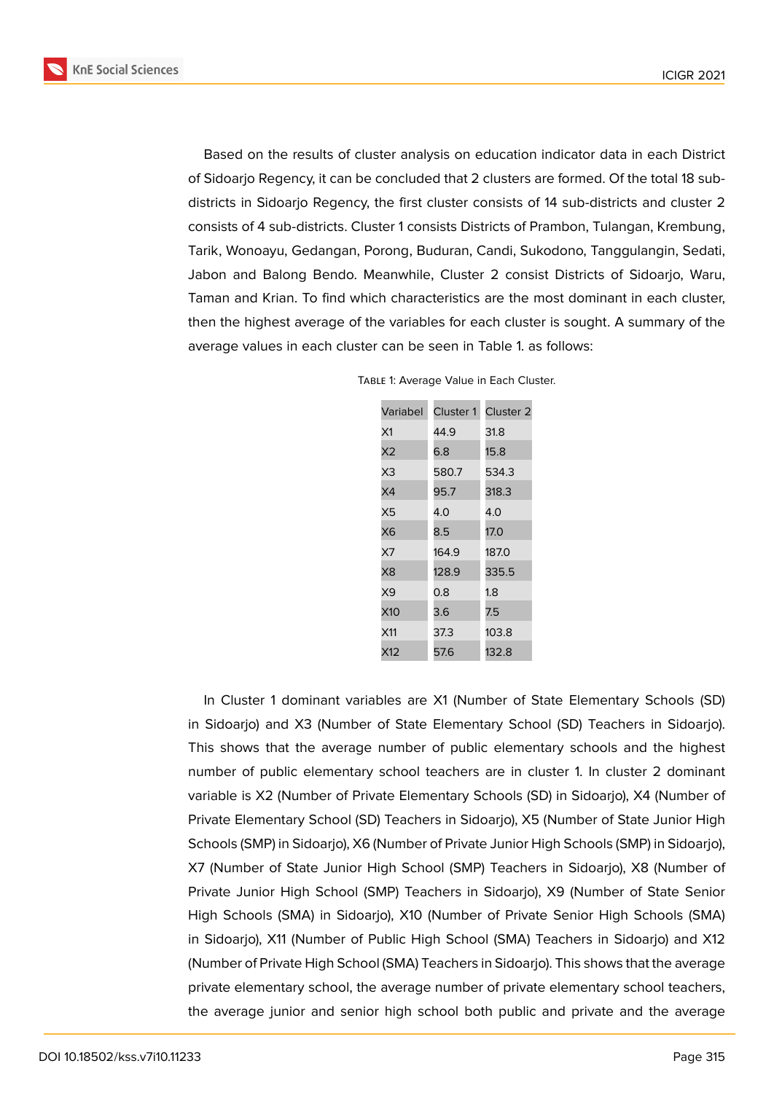**KnE Social Sciences** 



Based on the results of cluster analysis on education indicator data in each District of Sidoarjo Regency, it can be concluded that 2 clusters are formed. Of the total 18 subdistricts in Sidoarjo Regency, the first cluster consists of 14 sub-districts and cluster 2 consists of 4 sub-districts. Cluster 1 consists Districts of Prambon, Tulangan, Krembung, Tarik, Wonoayu, Gedangan, Porong, Buduran, Candi, Sukodono, Tanggulangin, Sedati, Jabon and Balong Bendo. Meanwhile, Cluster 2 consist Districts of Sidoarjo, Waru, Taman and Krian. To find which characteristics are the most dominant in each cluster, then the highest average of the variables for each cluster is sought. A summary of the average values in each cluster can be seen in Table 1. as follows:

| Variabel | Cluster 1 | Cluster 2 |
|----------|-----------|-----------|
| Х1       | 44.9      | 31.8      |
| X2       | 6.8       | 15.8      |
| X3       | 580.7     | 534.3     |
| X4       | 95.7      | 318.3     |
| Х5       | 4.0       | 4.0       |
| X6       | 8.5       | 17.0      |
| X7       | 164.9     | 187.0     |
| Х8       | 128.9     | 335.5     |
| X9       | 0.8       | 1.8       |
| X10      | 3.6       | 7.5       |
| X11      | 37.3      | 103.8     |
| X12      | 57.6      | 132.8     |

TABLE 1: Average Value in Each Cluster.

In Cluster 1 dominant variables are X1 (Number of State Elementary Schools (SD) in Sidoarjo) and X3 (Number of State Elementary School (SD) Teachers in Sidoarjo). This shows that the average number of public elementary schools and the highest number of public elementary school teachers are in cluster 1. In cluster 2 dominant variable is X2 (Number of Private Elementary Schools (SD) in Sidoarjo), X4 (Number of Private Elementary School (SD) Teachers in Sidoarjo), X5 (Number of State Junior High Schools (SMP) in Sidoarjo), X6 (Number of Private Junior High Schools (SMP) in Sidoarjo), X7 (Number of State Junior High School (SMP) Teachers in Sidoarjo), X8 (Number of Private Junior High School (SMP) Teachers in Sidoarjo), X9 (Number of State Senior High Schools (SMA) in Sidoarjo), X10 (Number of Private Senior High Schools (SMA) in Sidoarjo), X11 (Number of Public High School (SMA) Teachers in Sidoarjo) and X12 (Number of Private High School (SMA) Teachers in Sidoarjo). This shows that the average private elementary school, the average number of private elementary school teachers, the average junior and senior high school both public and private and the average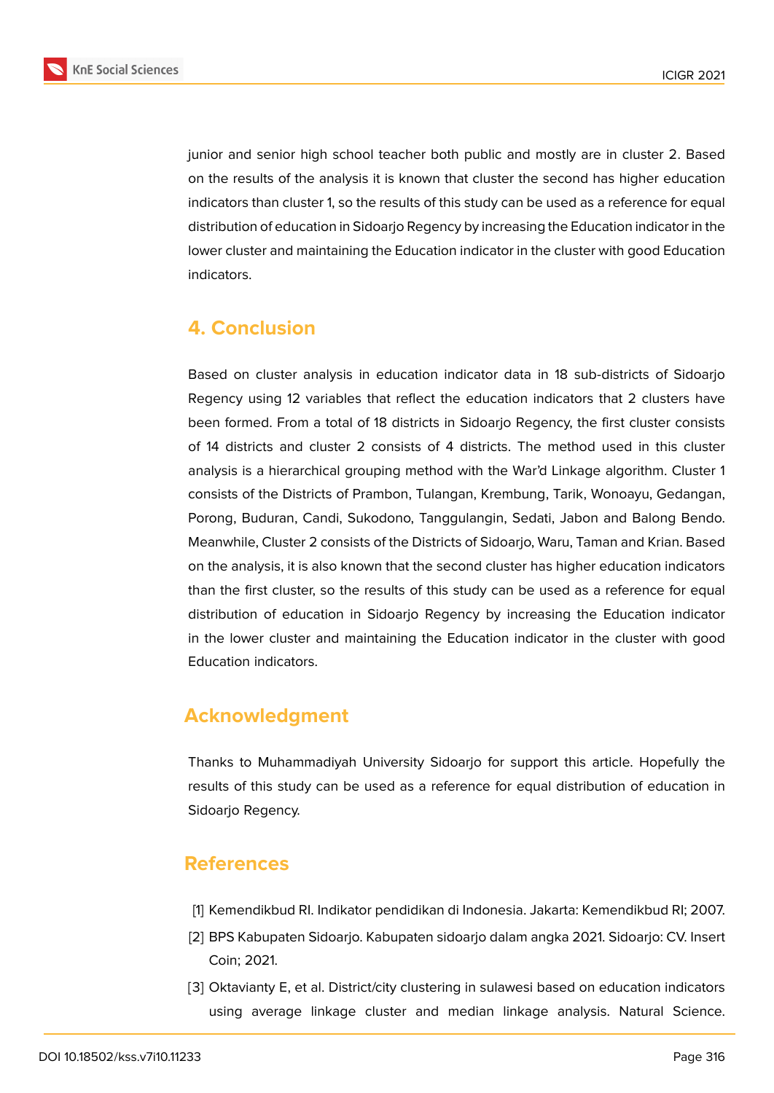

junior and senior high school teacher both public and mostly are in cluster 2. Based on the results of the analysis it is known that cluster the second has higher education indicators than cluster 1, so the results of this study can be used as a reference for equal distribution of education in Sidoarjo Regency by increasing the Education indicator in the lower cluster and maintaining the Education indicator in the cluster with good Education indicators.

## **4. Conclusion**

Based on cluster analysis in education indicator data in 18 sub-districts of Sidoarjo Regency using 12 variables that reflect the education indicators that 2 clusters have been formed. From a total of 18 districts in Sidoarjo Regency, the first cluster consists of 14 districts and cluster 2 consists of 4 districts. The method used in this cluster analysis is a hierarchical grouping method with the War'd Linkage algorithm. Cluster 1 consists of the Districts of Prambon, Tulangan, Krembung, Tarik, Wonoayu, Gedangan, Porong, Buduran, Candi, Sukodono, Tanggulangin, Sedati, Jabon and Balong Bendo. Meanwhile, Cluster 2 consists of the Districts of Sidoarjo, Waru, Taman and Krian. Based on the analysis, it is also known that the second cluster has higher education indicators than the first cluster, so the results of this study can be used as a reference for equal distribution of education in Sidoarjo Regency by increasing the Education indicator in the lower cluster and maintaining the Education indicator in the cluster with good Education indicators.

## **Acknowledgment**

Thanks to Muhammadiyah University Sidoarjo for support this article. Hopefully the results of this study can be used as a reference for equal distribution of education in Sidoarjo Regency.

### **References**

- <span id="page-5-0"></span>[1] Kemendikbud RI. Indikator pendidikan di Indonesia. Jakarta: Kemendikbud RI; 2007.
- <span id="page-5-1"></span>[2] BPS Kabupaten Sidoarjo. Kabupaten sidoarjo dalam angka 2021. Sidoarjo: CV. Insert Coin; 2021.
- <span id="page-5-2"></span>[3] Oktavianty E, et al. District/city clustering in sulawesi based on education indicators using average linkage cluster and median linkage analysis. Natural Science.